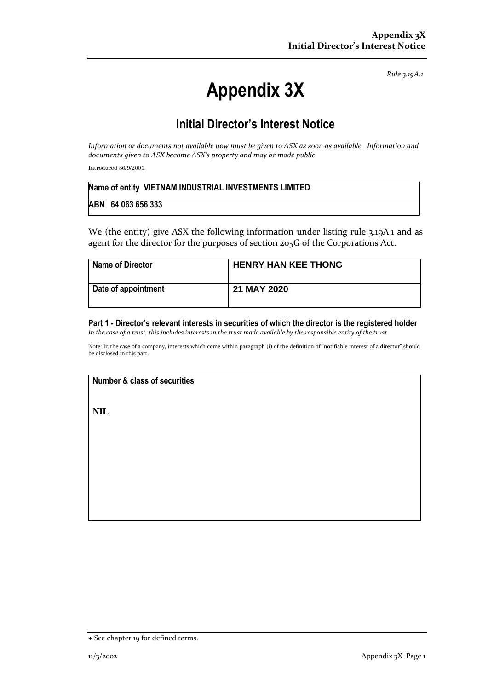*Rule 3.19A.1*

# **Appendix 3X**

## **Initial Director's Interest Notice**

*Information or documents not available now must be given to ASX as soon as available. Information and documents given to ASX become ASX's property and may be made public.*

Introduced 30/9/2001.

| Name of entity VIETNAM INDUSTRIAL INVESTMENTS LIMITED |  |
|-------------------------------------------------------|--|
| ABN 64 063 656 333                                    |  |

We (the entity) give ASX the following information under listing rule 3.19A.1 and as agent for the director for the purposes of section 205G of the Corporations Act.

| <b>Name of Director</b> | <b>HENRY HAN KEE THONG</b> |
|-------------------------|----------------------------|
| Date of appointment     | 21 MAY 2020                |

#### **Part 1 - Director's relevant interests in securities of which the director is the registered holder** *In the case of a trust, this includes interests in the trust made available by the responsible entity of the trust*

Note: In the case of a company, interests which come within paragraph (i) of the definition of "notifiable interest of a director" should be disclosed in this part.

### **Number & class of securities**

**NIL**

<sup>+</sup> See chapter 19 for defined terms.